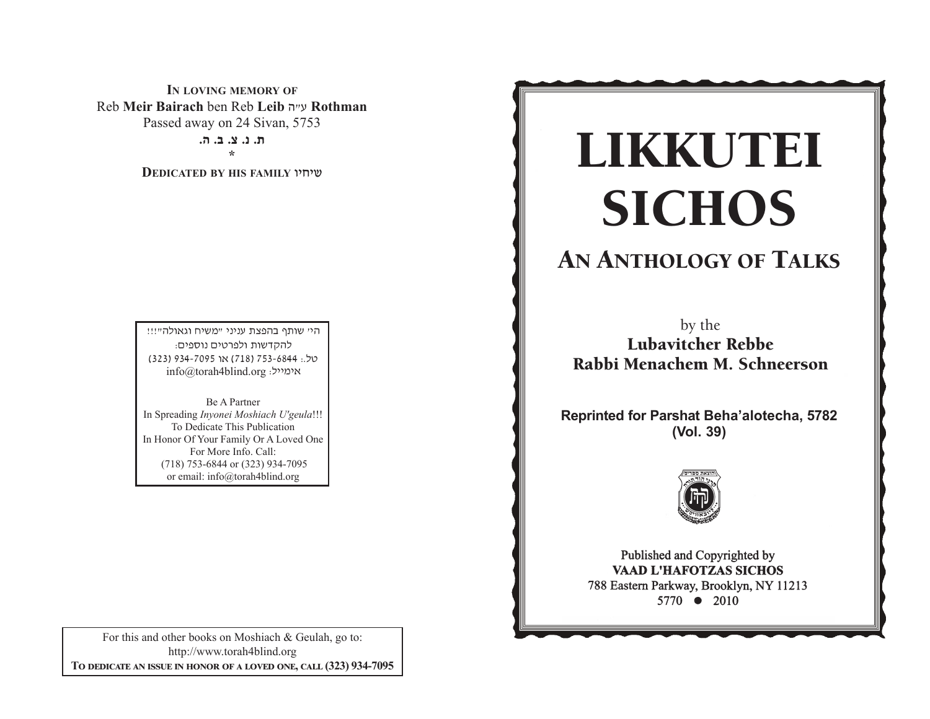**IN LOVING MEMORY OF** Reb **Meir Bairach** ben Reb **Leib**v"g **Rothman**  Passed away on 24 Sivan, 5753 **/v /c /m /b /, \*** 

**DEDICATED BY HIS FAMILY** uhjha

היי שותף בהפצת עניני "משיח וגאולה"!!! להקדשות ולפרטים נוספים: 0ל.: 753-6844 (718) או 7095-934 (323) info@torah4blind.org אימייל:

Be A PartnerIn Spreading *Inyonei Moshiach U'geula*!!! To Dedicate This Publication In Honor Of Your Family Or A Loved One For More Info. Call: (718) 753-6844 or (323) 934-7095 or email: info@torah4blind.org

For this and other books on Moshiach & Geulah, go to: http://www.torah4blind.org  $\bf{To \textbf{ DEDICATE \textbf{AN} \textbf{ ISSUE} \textbf{ IN HONOR} \textbf{OF} \textbf{A} \textbf{ LOVED} \textbf{ONE}, \textbf{CALL} \textbf{(323) } 934\textbf{-7095}}$ 

# $\overline{\text{CICHOC}}$ -**SICHOS**<br>SICHOS<br>by the<br>Lubavitcher Rebbe<br>bi Menachem M. Schnee<br>ted for Parshat Beha'alotech<br>(Vol. 39)<br>Published and Copyrighted by<br>Pablished and Copyrighted by<br>Pablished and Copyrighted by<br>Raap L'HAFOTZAS SICHOS<br>5770  $\bullet$  **SICHOS** LIKKUTEI

## ANIHOLOGY OF TA AN ANTHOLOGY OF TALKS

b b Lubavitcher Rebbe Rabbi Menachem M. Schneerson by the

**Reprinted for Parshat Beha'alotecha, 5782** C CC **(Vol. 39)**



 $\frac{1}{2}$  between Parkway, Brooklyn, NY 112  $5770$   $\bullet$  2010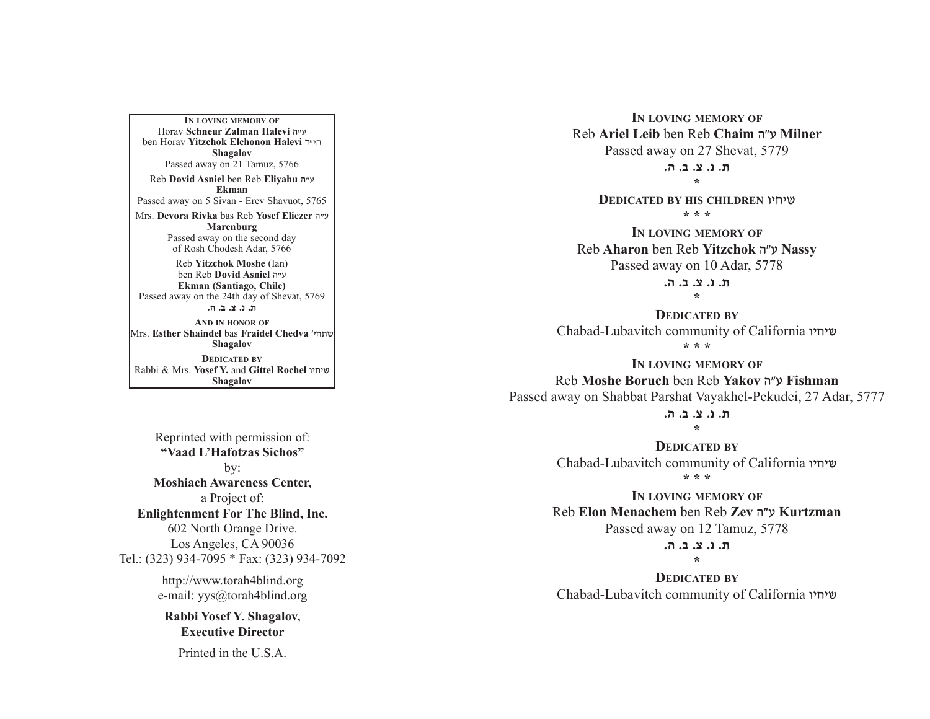A PARALLEL BETWEEN MANNA AND SHABBOS **EkmanIN LOVING MEMORY OF**Horav **Schneur Zalman Halevi** v"g ben Horav **Yitzchok Elchonon Halevi** s"hv**Shagalov** Passed away on 21 Tamuz, 5766 Reb **Dovid Asniel** ben Reb **Eliyahu** <sup>v</sup>"g Passed away on 5 Sivan - Erev Shavuot, 5765 Mrs. **Devora Rivka** bas Reb **Yosef Eliezer** v"g **Marenburg** Passed away on the second day of Rosh Chodesh Adar, 5766 Reb **Yitzchok Moshe** (Ian) ben Reb **Dovid Asniel** v"g **Ekman (Santiago, Chile)** Passed away on the 24th day of Shevat, 5769 **/v /c /m /b /,AND IN HONOR OF**Mrs. **Esther Shaindel** bas **Fraidel Chedva** whj,a**Shagalov**

> **DEDICATED BY**Rabbi & Mrs. **Yosef Y.** and **Gittel Rochel** uhjha**Shagalov**

Reprinted with permission of: **"Vaad L'Hafotzas Sichos"**by: **Moshiach Awareness Center,** a Project of: **Enlightenment For The Blind, Inc.** 602 North Orange Drive. Los Angeles, CA 90036 Tel.: (323) 934-7095 \* Fax: (323) 934-7092

http://www.torah4blind.org e-mail: yys@torah4blind.org

**Rabbi Yosef Y. Shagalov, Executive Director**

Printed in the U.S.A.

**IN LOVING MEMORY OF** Reb **Ariel Leib** ben Reb **Chaim** vWg **Milner** Passed away on 27 Shevat, 5779

> **/v /c /m /b /,\***

**DEDICATED BY HIS CHILDREN** uhjha **\* \* \***

**IN LOVING MEMORY OF** Reb **Aharon** ben Reb **Yitzchok** vWg **Nassy** Passed away on 10 Adar, 5778

> **ת. נ. צ. ב. ה. \***

**DEDICATED BY**Chabad-Lubavitch community of California שיחיו **\* \* \***

**IN LOVING MEMORY OF** Reb **Moshe Boruch** ben Reb **Yakov** vWg **Fishman** Passed away on Shabbat Parshat Vayakhel-Pekudei, 27 Adar, 5777

> **,,**, ,, <u>,,</u> ,,, **\***

**DEDICATED BY**Chabad-Lubavitch community of California שיחיו **\* \* \***

**IN LOVING MEMORY OF** Reb **Elon Menachem** ben Reb **Zev** vWg **Kurtzman** Passed away on 12 Tamuz, 5778

#### **/v /c /m /b /,\***

**DEDICATED BY**

Chabad-Lubavitch community of California שיחיו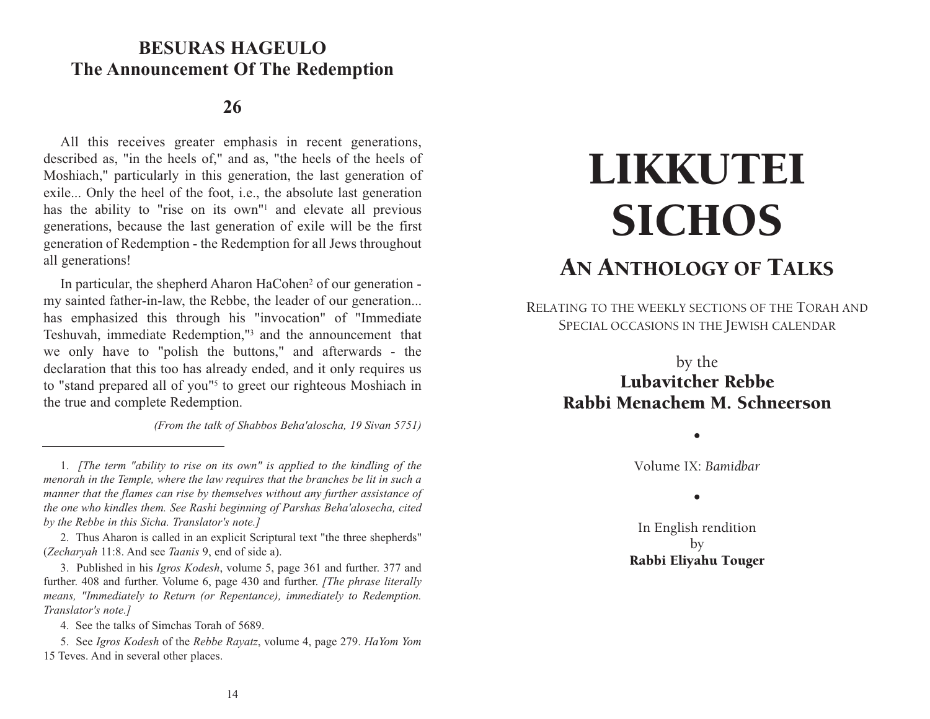# **BESURAS HAGEULO BESURAS HAGEULO The Announcement Of The Redemption**

### **26**

All this receives greater emphasis in recent generations, described as, "in the heels of," and as, "the heels of the heels of Moshiach," particularly in this generation, the last generation of exile... Only the heel of the foot, i.e., the absolute last generation has the ability to "rise on its own"<sup>1</sup> and elevate all previous generations, because the last generation of exile will be the first generation of Redemption - the Redemption for all Jews throughout all generations!

In particular, the shepherd Aharon HaCohen<sup>2</sup> of our generation my sainted father-in-law, the Rebbe, the leader of our generation... has emphasized this through his "invocation" of "Immediate Teshuvah, immediate Redemption,"3 and the announcement that we only have to "polish the buttons," and afterwards - the declaration that this too has already ended, and it only requires us to "stand prepared all of you"5 to greet our righteous Moshiach in the true and complete Redemption.

*(From the talk of Shabbos Beha'aloscha, 19 Sivan 5751)*

2. Thus Aharon is called in an explicit Scriptural text "the three shepherds" (*Zecharyah* 11:8. And see *Taanis* 9, end of side a).

3. Published in his *Igros Kodesh*, volume 5, page 361 and further. 377 and further. 408 and further. Volume 6, page 430 and further. *[The phrase literally means, "Immediately to Return (or Repentance), immediately to Redemption. Translator's note.]*

4. See the talks of Simchas Torah of 5689.

5. See *Igros Kodesh* of the *Rebbe Rayatz*, volume 4, page 279. *HaYom Yom* 15 Teves. And in several other places.

# LIKKUTEI **SICHOS** AN ANTHOLOGY OF TALKS

RELATING TO THE WEEKLY SECTIONS OF THE TORAH AND SPECIAL OCCASIONS IN THE JEWISH CALENDAR

# by the Lubavitcher Rebbe Rabbi Menachem M. Schneerson

•

Volume IX: *Bamidbar*

•

In English rendition by Rabbi Eliyahu Touger

<sup>1.</sup> *[The term "ability to rise on its own" is applied to the kindling of the menorah in the Temple, where the law requires that the branches be lit in such a manner that the flames can rise by themselves without any further assistance of the one who kindles them. See Rashi beginning of Parshas Beha'alosecha, cited by the Rebbe in this Sicha. Translator's note.]*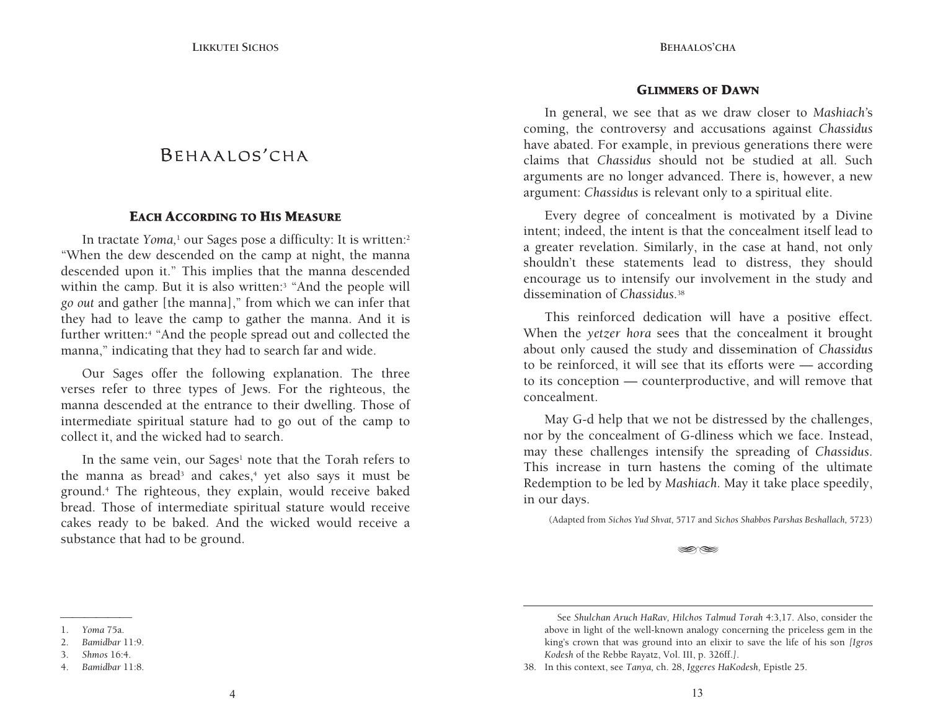# BEHAALOS'CHA

#### EACH ACCORDING TO HIS MEASURE

In tractate *Yoma*,<sup>1</sup> our Sages pose a difficulty: It is written:<sup>2</sup> "When the dew descended on the camp at night, the manna descended upon it." This implies that the manna descended within the camp. But it is also written:<sup>3</sup> "And the people will *go ou<sup>t</sup>* and gather [the manna]," from which we can infer that they had to leave the camp to gather the manna. And it is further written:<sup>4</sup> "And the people spread out and collected the manna," indicating that they had to search far and wide.

Our Sages offer the following explanation. The three verses refer to three types of Jews. For the righteous, the manna descended at the entrance to their dwelling. Those of intermediate spiritual stature had to go out of the camp to collect it, and the wicked had to search.

In the same vein, our Sages<sup>1</sup> note that the Torah refers to the manna as bread<sup>3</sup> and cakes,<sup>4</sup> yet also says it must be ground.4 The righteous, they explain, would receive baked bread. Those of intermediate spiritual stature would receive cakes ready to be baked. And the wicked would receive a substance that had to be ground.

#### GLIMMERS OF DAWN

In general, we see that as we draw closer to *Mashiach'*<sup>s</sup> coming, the controversy and accusations against *Chassidus*  have abated. For example, in previous generations there were claims that *Chassidus* should not be studied at all. Such arguments are no longer advanced. There is, however, a new argument: *Chassidus* is relevant only to a spiritual elite.

Every degree of concealment is motivated by a Divine intent; indeed, the intent is that the concealment itself lead to a greater revelation. Similarly, in the case at hand, not only shouldn't these statements lead to distress, they should encourage us to intensify our involvement in the study and dissemination of *Chassidus.*<sup>38</sup>

This reinforced dedication will have a positive effect. When the *yetzer hora* sees that the concealment it brought about only caused the study and dissemination of *Chassidus*  to be reinforced, it will see that its efforts were — according to its conception — counterproductive, and will remove that concealment.

May G-d help that we not be distressed by the challenges, nor by the concealment of G-dliness which we face. Instead, may these challenges intensify the spreading of *Chassidus*. This increase in turn hastens the coming of the ultimate Redemption to be led by *Mashiach*. May it take place speedily, in our days.

(Adapted from *Sichos Yud Shvat,* 5717 and *Sichos Shabbos Parshas Beshallach,* 5723)

S S

38. In this context, see *Tanya,* ch. 28, *Iggeres HaKodesh,* Epistle 25.

**BEHAALOS'CHA**

See *Shulchan Aruch HaRav, Hilchos Talmud Torah* 4:3,17. Also, consider the above in light of the well-known analogy concerning the priceless gem in the king's crown that was ground into an elixir to save the life of his son *[Igros Kodesh* of the Rebbe Rayatz, Vol. III, p. 326ff.*]*.

<sup>1.</sup> *Yoma* 75a.

<sup>2.</sup> *Bamidbar* 11:9.

<sup>3.</sup> *Shmos* 16:4.

<sup>4.</sup> *Bamidbar* 11:8.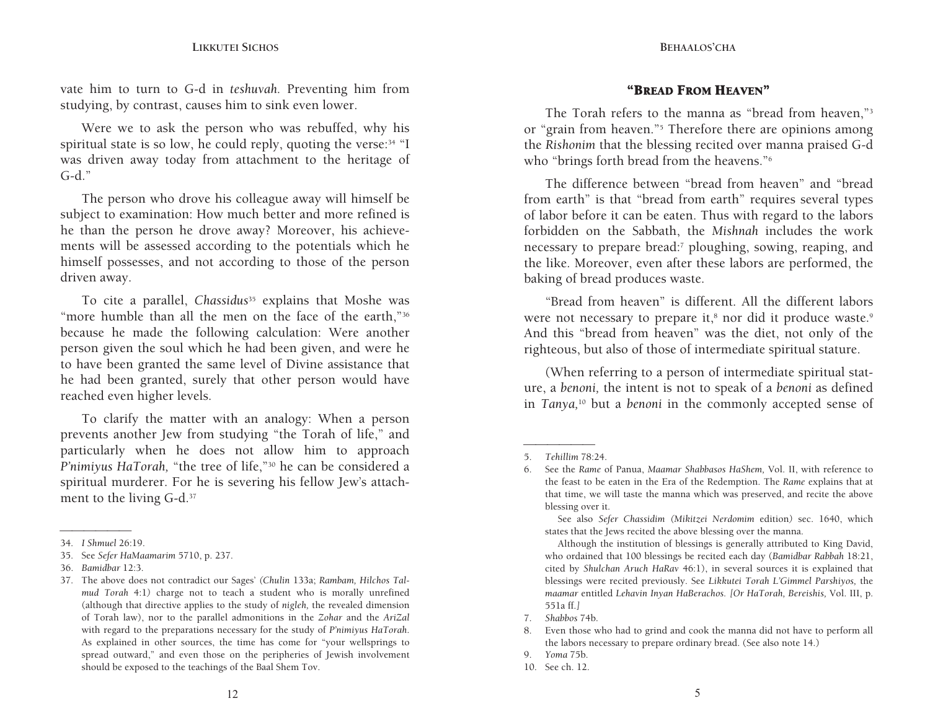#### **LIKKUTEI SICHOS**

**BEHAALOS'CHA**

vate him to turn to G-d in *teshuvah.* Preventing him from studying, by contrast, causes him to sink even lower.

Were we to ask the person who was rebuffed, why his spiritual state is so low, he could reply, quoting the verse:<sup>34</sup> "I was driven away today from attachment to the heritage of  $G-d$ ."

The person who drove his colleague away will himself be subject to examination: How much better and more refined is he than the person he drove away? Moreover, his achievements will be assessed according to the potentials which he himself possesses, and not according to those of the person driven away.

To cite a parallel, *Chassidus*35 explains that Moshe was "more humble than all the men on the face of the earth,"<sup>36</sup> because he made the following calculation: Were another person given the soul which he had been given, and were he to have been granted the same level of Divine assistance that he had been granted, surely that other person would have reached even higher levels.

To clarify the matter with an analogy: When a person prevents another Jew from studying "the Torah of life," and particularly when he does not allow him to approach *P'nimiyus HaTorah,* "the tree of life,"30 he can be considered a spiritual murderer. For he is severing his fellow Jew's attachment to the living G-d.37

#### "BREAD FROM HEAVEN"

The Torah refers to the manna as "bread from heaven,"3 or "grain from heaven."5 Therefore there are opinions among the *Rishonim* that the blessing recited over manna praised G-d who "brings forth bread from the heavens."<sup>6</sup>

The difference between "bread from heaven" and "bread from earth" is that "bread from earth" requires several types of labor before it can be eaten. Thus with regard to the labors forbidden on the Sabbath, the *Mishnah* includes the work necessary to prepare bread:7 ploughing, sowing, reaping, and the like. Moreover, even after these labors are performed, the baking of bread produces waste.

"Bread from heaven" is different. All the different labors were not necessary to prepare it,<sup>8</sup> nor did it produce waste.<sup>9</sup> And this "bread from heaven" was the diet, not only of the righteous, but also of those of intermediate spiritual stature.

(When referring to a person of intermediate spiritual stature, a *benoni,* the intent is not to speak of a *benoni* as defined in *Tanya,*10 but a *benoni* in the commonly accepted sense of

\_\_\_\_\_\_\_\_\_ 34. *I Shmuel* 26:19.

<sup>35.</sup> See *Sefer HaMaamarim* 5710, p. 237.

<sup>36.</sup> *Bamidbar* 12:3.

<sup>37.</sup> The above does not contradict our Sages' *(Chulin* 133a; *Rambam, Hilchos Talmud Torah* 4:1*)* charge not to teach a student who is morally unrefined (although that directive applies to the study of *nigleh,* the revealed dimension of Torah law), nor to the parallel admonitions in the *Zohar* and the *AriZal*  with regard to the preparations necessary for the study of *P'nimiyus HaTorah*. As explained in other sources, the time has come for "your wellsprings to spread outward," and even those on the peripheries of Jewish involvement should be exposed to the teachings of the Baal Shem Tov.

\_\_\_\_\_\_\_\_\_ 5. *Tehillim* 78:24.

<sup>6.</sup> See the *Rame* of Panua, *Maamar Shabbasos HaShem,* Vol. II, with reference to the feast to be eaten in the Era of the Redemption. The *Rame* explains that at that time, we will taste the manna which was preserved, and recite the above blessing over it.

See also *Sefer Chassidim (Mikitzei Nerdomim* edition*)* sec. 1640, which states that the Jews recited the above blessing over the manna.

Although the institution of blessings is generally attributed to King David, who ordained that 100 blessings be recited each day (*Bamidbar Rabbah* 18:21, cited by *Shulchan Aruch HaRav* 46:1), in several sources it is explained that blessings were recited previously. See *Likkutei Torah L'Gimmel Parshiyos,* the *maamar* entitled *Lehavin Inyan HaBerachos. [Or HaTorah, Bereishis,* Vol. III, p. 551a ff.*]*

<sup>7.</sup> *Shabbos* 74b.

<sup>8.</sup> Even those who had to grind and cook the manna did not have to perform all the labors necessary to prepare ordinary bread. (See also note 14.)

<sup>9.</sup> *Yoma* 75b.

<sup>10.</sup> See ch. 12.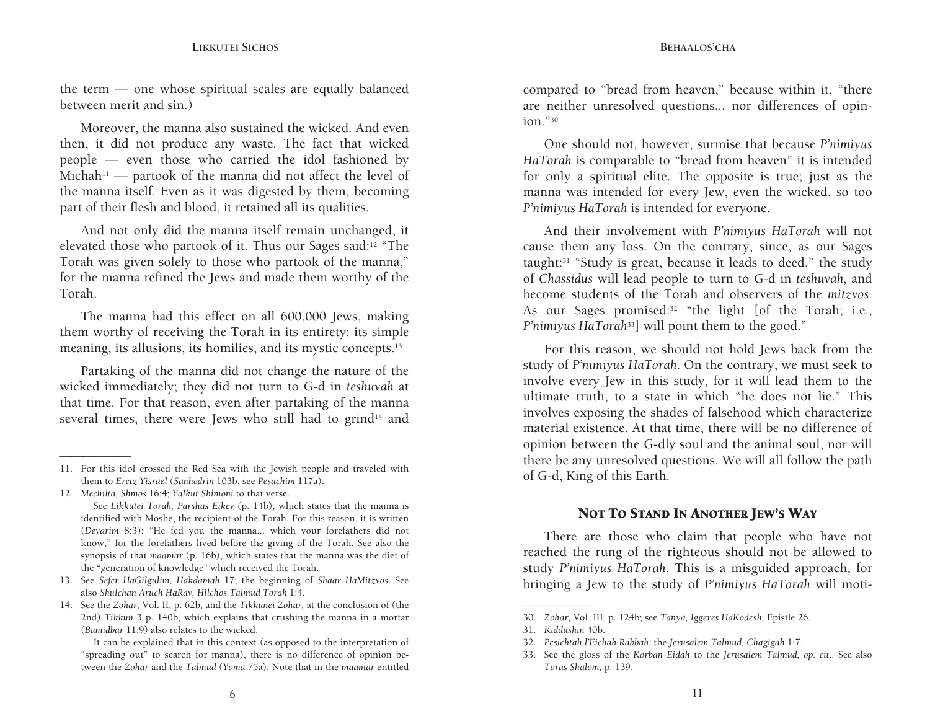the term — one whose spiritual scales are equally balanced between merit and sin.)

the manna itself. Even as it was digested by them, becoming Moreover, the manna also sustained the wicked. And even then, it did not produce any waste. The fact that wicked people — even those who carried the idol fashioned by Michah<sup>11</sup> — partook of the manna did not affect the level of part of their flesh and blood, it retained all its qualities.

And not only did the manna itself remain unchanged, it elevated those who partook of it. Thus our Sages said:12 "The Torah was given solely to those who partook of the manna," for the manna refined the Jews and made them worthy of the Torah.

The manna had this effect on all 600,000 Jews, making them worthy of receiving the Torah in its entirety: its simple meaning, its allusions, its homilies, and its mystic concepts.13

Partaking of the manna did not change the nature of the wicked immediately; they did not turn to G-d in *teshuvah* at that time. For that reason, even after partaking of the manna several times, there were Jews who still had to grind<sup>14</sup> and compared to "bread from heaven," because within it, "there are neither unresolved questions... nor differences of opinion."30

One should not, however, surmise that because *P'nimiyus HaTorah* is comparable to "bread from heaven" it is intended for only a spiritual elite. The opposite is true; just as the manna was intended for every Jew, even the wicked, so too *P'nimiyus HaTorah* is intended for everyone.

And their involvement with *P'nimiyus HaTorah* will not cause them any loss. On the contrary, since, as our Sages taught:31 "Study is great, because it leads to deed," the study of *Chassidus* will lead people to turn to G-d in *teshuvah,* and become students of the Torah and observers of the *mitzvos.*  As our Sages promised:<sup>32</sup> "the light [of the Torah; i.e., *P'nimiyus HaTorah*<sup>33</sup>] will point them to the good."

For this reason, we should not hold Jews back from the study of *P'nimiyus HaTorah*. On the contrary, we must seek to involve every Jew in this study, for it will lead them to the ultimate truth, to a state in which "he does not lie." This involves exposing the shades of falsehood which characterize material existence. At that time, there will be no difference of opinion between the G-dly soul and the animal soul, nor will there be any unresolved questions. We will all follow the path of G-d, King of this Earth.

#### NOT TO STAND IN ANOTHER JEW'S WAY

There are those who claim that people who have not reached the rung of the righteous should not be allowed to study *P'nimiyus HaTorah*. This is a misguided approach, for bringing a Jew to the study of *P'nimiyus HaTorah* will moti-

<sup>11.</sup> For this idol crossed the Red Sea with the Jewish people and traveled with them to *Eretz Yisrael* (*Sanhedrin* 103b, see *Pesachim* 117a).

<sup>12.</sup> *Mechilta, Shmos* 16:4; *Yalkut Shimoni* to that verse.

See *Likkutei Torah, Parshas Eikev* (p. 14b), which states that the manna is identified with Moshe, the recipient of the Torah. For this reason, it is written (*Devarim* 8:3): "He fed you the manna... which your forefathers did not know," for the forefathers lived before the giving of the Torah. See also the synopsis of that *maamar* (p. 16b), which states that the manna was the diet of the "generation of knowledge" which received the Torah.

<sup>13.</sup> See *Sefer HaGilgulim, Hakdamah* 17; the beginning of *Shaar HaMitzvos*. See also *Shulchan Aruch HaRav, Hilchos Talmud Torah* 1:4.

<sup>14.</sup> See the *Zohar,* Vol. II, p. 62b, and the *Tikkunei Zohar,* at the conclusion of (the 2nd) *Tikkun* 3 p. 140b, which explains that crushing the manna in a mortar (*Bamidbar* 11:9) also relates to the wicked.

It can be explained that in this context (as opposed to the interpretation of "spreading out" to search for manna), there is no difference of opinion between the *Zohar* and the *Talmud* (*Yoma* 75a). Note that in the *maamar* entitled

<sup>30.</sup> *Zohar,* Vol. III, p. 124b; see *Tanya, Iggeres HaKodesh,* Epistle 26.

<sup>31.</sup> *Kiddushin* 40b.

<sup>32.</sup> *Pesichtah l'Eichah Rabbah;* the *Jerusalem Talmud, Chagigah* 1:7.

<sup>33.</sup> See the gloss of the *Korban Eidah* to the *Jerusalem Talmud, op. cit..* See also *Toras Shalom,* p. 139.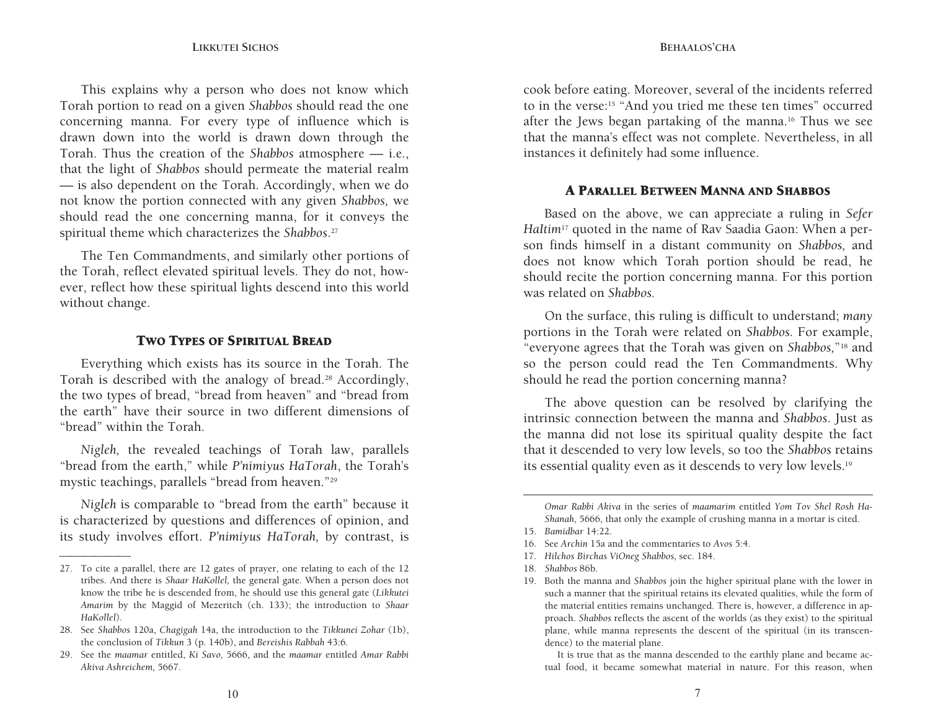$-$  is also dependent on the Torah. Accordingly, when we do not know the portion connected with any given *Shabbos,* we This explains why a person who does not know which Torah portion to read on a given *Shabbos* should read the one concerning manna. For every type of influence which is drawn down into the world is drawn down through the Torah. Thus the creation of the *Shabbos* atmosphere — i.e., that the light of *Shabbos* should permeate the material realm should read the one concerning manna, for it conveys the spiritual theme which characterizes the *Shabbos*.<sup>27</sup>

The Ten Commandments, and similarly other portions of the Torah, reflect elevated spiritual levels. They do not, however, reflect how these spiritual lights descend into this world without change.

#### TWO TYPES OF SPIRITUAL BREAD

Everything which exists has its source in the Torah. The Torah is described with the analogy of bread.28 Accordingly, the two types of bread, "bread from heaven" and "bread from the earth" have their source in two different dimensions of "bread" within the Torah.

*Nigleh,* the revealed teachings of Torah law, parallels "bread from the earth," while *P'nimiyus HaTorah*, the Torah's mystic teachings, parallels "bread from heaven."29

*Nigleh* is comparable to "bread from the earth" because it is characterized by questions and differences of opinion, and its study involves effort. *P'nimiyus HaTorah,* by contrast, is

cook before eating. Moreover, several of the incidents referred to in the verse:15 "And you tried me these ten times" occurred after the Jews began partaking of the manna.16 Thus we see that the manna's effect was not complete. Nevertheless, in all instances it definitely had some influence.

#### A PARALLEL BETWEEN MANNA AND SHABBOS

Based on the above, we can appreciate a ruling in *Sefer HaItim*17 quoted in the name of Rav Saadia Gaon: When a person finds himself in a distant community on *Shabbos,* and does not know which Torah portion should be read, he should recite the portion concerning manna. For this portion was related on *Shabbos.*

On the surface, this ruling is difficult to understand; *many* portions in the Torah were related on *Shabbos.* For example, "everyone agrees that the Torah was given on *Shabbos,*"18 and so the person could read the Ten Commandments. Why should he read the portion concerning manna?

The above question can be resolved by clarifying the intrinsic connection between the manna and *Shabbos*. Just as the manna did not lose its spiritual quality despite the fact that it descended to very low levels, so too the *Shabbos* retains its essential quality even as it descends to very low levels.19

<sup>27.</sup> To cite a parallel, there are 12 gates of prayer, one relating to each of the 12 tribes. And there is *Shaar HaKollel,* the general gate. When a person does not know the tribe he is descended from, he should use this general gate (*Likkutei Amarim* by the Maggid of Mezeritch (ch. 133); the introduction to *Shaar HaKollel*).

<sup>28.</sup> See *Shabbos* 120a, *Chagigah* 14a, the introduction to the *Tikkunei Zohar* (1b), the conclusion of *Tikkun* 3 (p. 140b), and *Bereishis Rabbah* 43:6.

<sup>29.</sup> See the *maamar* entitled, *Ki Savo,* 5666, and the *maamar* entitled *Amar Rabbi Akiva Ashreichem,* 5667.

*Omar Rabbi Akiva* in the series of *maamarim* entitled *Yom Tov Shel Rosh Ha-Shanah,* 5666, that only the example of crushing manna in a mortar is cited.

<sup>15.</sup> *Bamidbar* 14:22.

<sup>16.</sup> See *Archin* 15a and the commentaries to *Avos* 5:4.

<sup>17.</sup> *Hilchos Birchas ViOneg Shabbos,* sec. 184.

<sup>18.</sup> *Shabbos* 86b.

<sup>19.</sup> Both the manna and *Shabbos* join the higher spiritual plane with the lower in such a manner that the spiritual retains its elevated qualities, while the form of the material entities remains unchanged. There is, however, a difference in approach. *Shabbos* reflects the ascent of the worlds (as they exist) to the spiritual plane, while manna represents the descent of the spiritual (in its transcendence) to the material plane.

It is true that as the manna descended to the earthly plane and became actual food, it became somewhat material in nature. For this reason, when